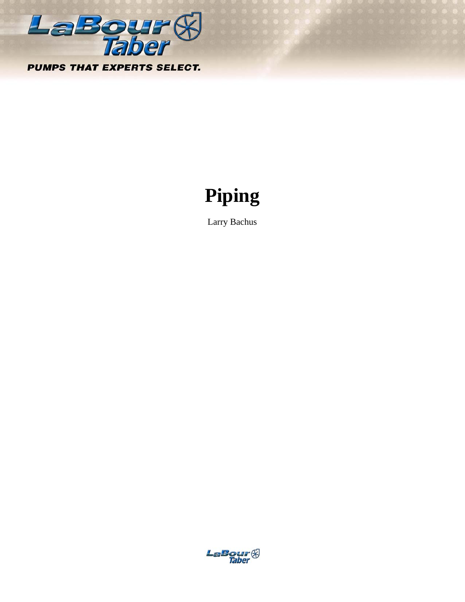

# **Piping**

Larry Bachus

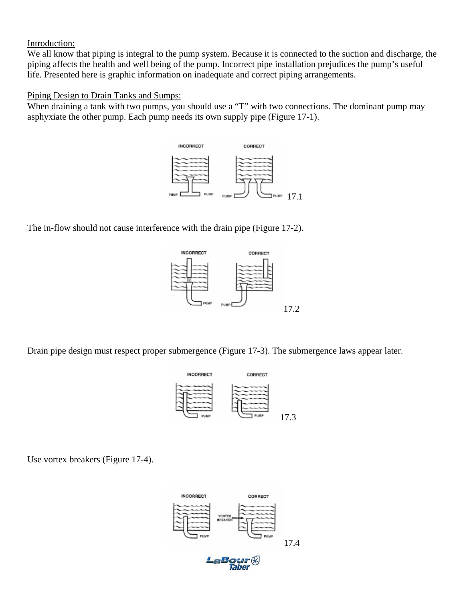#### Introduction:

We all know that piping is integral to the pump system. Because it is connected to the suction and discharge, the piping affects the health and well being of the pump. Incorrect pipe installation prejudices the pump's useful life. Presented here is graphic information on inadequate and correct piping arrangements.

### Piping Design to Drain Tanks and Sumps:

When draining a tank with two pumps, you should use a "T" with two connections. The dominant pump may asphyxiate the other pump. Each pump needs its own supply pipe (Figure 17-1).



The in-flow should not cause interference with the drain pipe (Figure 17-2).



Drain pipe design must respect proper submergence (Figure 17-3). The submergence laws appear later.



Use vortex breakers (Figure 17-4).

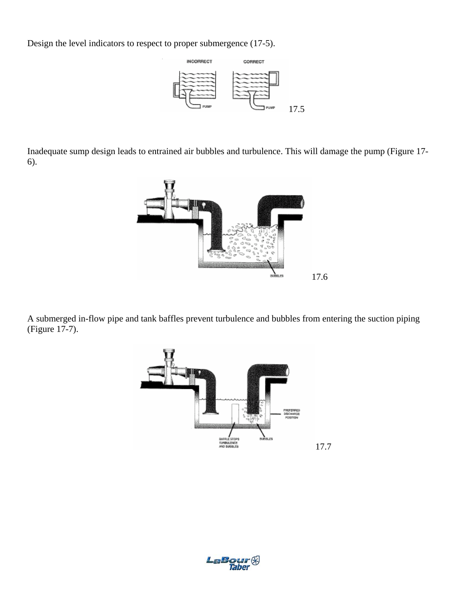Design the level indicators to respect to proper submergence (17-5).



Inadequate sump design leads to entrained air bubbles and turbulence. This will damage the pump (Figure 17- 6).



A submerged in-flow pipe and tank baffles prevent turbulence and bubbles from entering the suction piping (Figure 17-7).



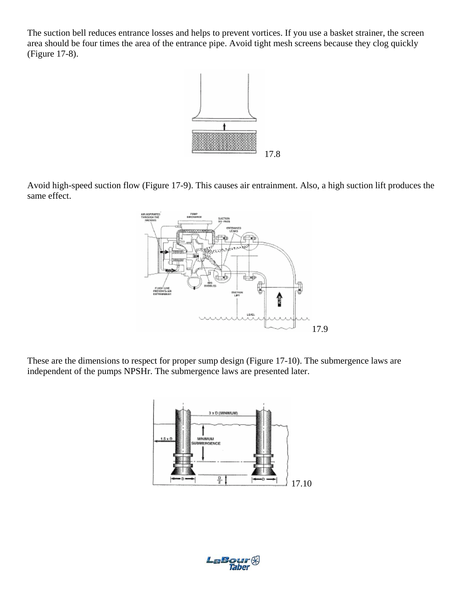The suction bell reduces entrance losses and helps to prevent vortices. If you use a basket strainer, the screen area should be four times the area of the entrance pipe. Avoid tight mesh screens because they clog quickly (Figure 17-8).



Avoid high-speed suction flow (Figure 17-9). This causes air entrainment. Also, a high suction lift produces the same effect.



These are the dimensions to respect for proper sump design (Figure 17-10). The submergence laws are independent of the pumps NPSHr. The submergence laws are presented later.



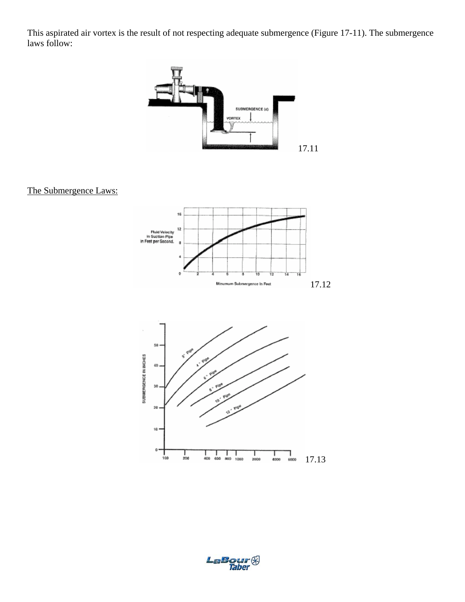This aspirated air vortex is the result of not respecting adequate submergence (Figure 17-11). The submergence laws follow:



## The Submergence Laws:





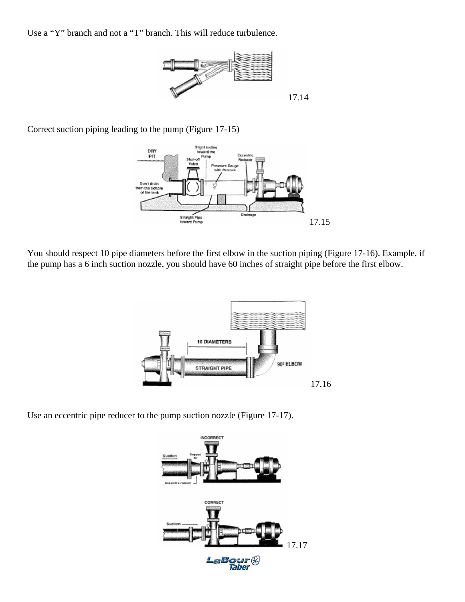Use a "Y" branch and not a "T" branch. This will reduce turbulence.



Correct suction piping leading to the pump (Figure 17-15)



You should respect 10 pipe diameters before the first elbow in the suction piping (Figure 17-16). Example, if the pump has a 6 inch suction nozzle, you should have 60 inches of straight pipe before the first elbow.



Use an eccentric pipe reducer to the pump suction nozzle (Figure 17-17).